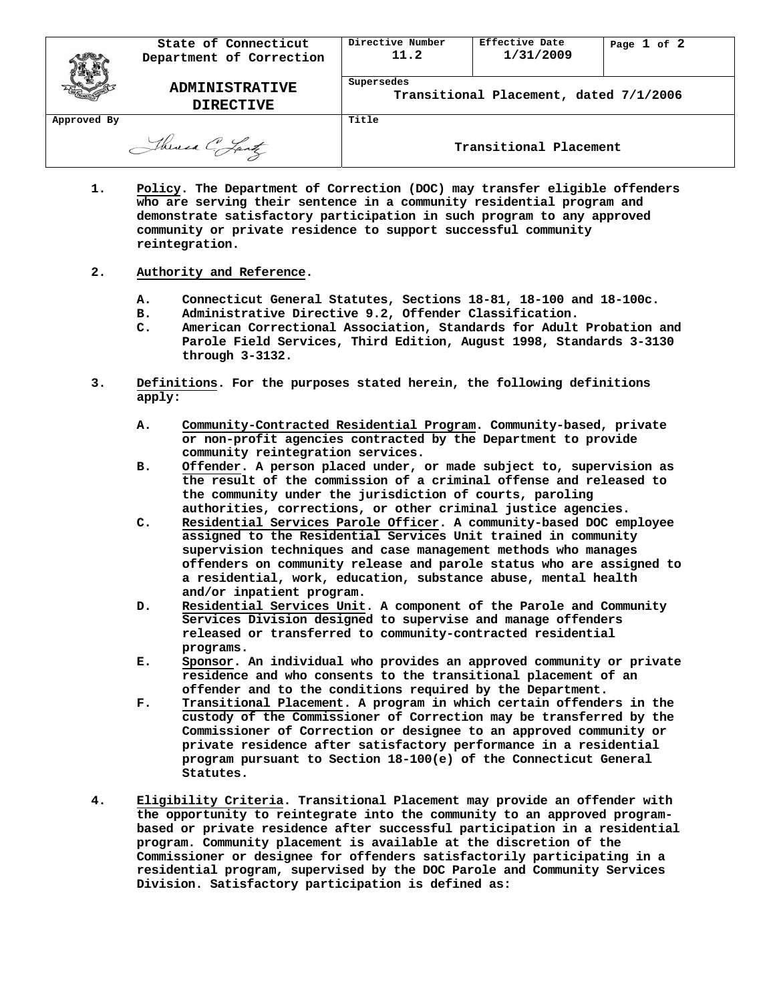|                  | State of Connecticut<br>Department of Correction | Directive Number<br>11.2                             | Effective Date<br>1/31/2009 | Page $1$ of $2$ |
|------------------|--------------------------------------------------|------------------------------------------------------|-----------------------------|-----------------|
|                  | <b>ADMINISTRATIVE</b><br><b>DIRECTIVE</b>        | Supersedes<br>Transitional Placement, dated 7/1/2006 |                             |                 |
| Approved By      |                                                  | Title                                                |                             |                 |
| Theresa C. Lantz |                                                  | Transitional Placement                               |                             |                 |

**1. Policy. The Department of Correction (DOC) may transfer eligible offenders who are serving their sentence in a community residential program and demonstrate satisfactory participation in such program to any approved community or private residence to support successful community reintegration.**

## **2. Authority and Reference.**

- **A. Connecticut General Statutes, Sections 18-81, 18-100 and 18-100c.**
- **B. Administrative Directive 9.2, Offender Classification.**
- **C. American Correctional Association, Standards for Adult Probation and Parole Field Services, Third Edition, August 1998, Standards 3-3130 through 3-3132.**
- **3. Definitions. For the purposes stated herein, the following definitions apply:**
	- **A. Community-Contracted Residential Program. Community-based, private or non-profit agencies contracted by the Department to provide community reintegration services.**
	- **B. Offender. A person placed under, or made subject to, supervision as the result of the commission of a criminal offense and released to the community under the jurisdiction of courts, paroling authorities, corrections, or other criminal justice agencies.**
	- **C. Residential Services Parole Officer. A community-based DOC employee assigned to the Residential Services Unit trained in community supervision techniques and case management methods who manages offenders on community release and parole status who are assigned to a residential, work, education, substance abuse, mental health and/or inpatient program.**
	- **D. Residential Services Unit. A component of the Parole and Community Services Division designed to supervise and manage offenders released or transferred to community-contracted residential programs.**
	- **E. Sponsor. An individual who provides an approved community or private residence and who consents to the transitional placement of an offender and to the conditions required by the Department.**
	- **F. Transitional Placement. A program in which certain offenders in the custody of the Commissioner of Correction may be transferred by the Commissioner of Correction or designee to an approved community or private residence after satisfactory performance in a residential program pursuant to Section 18-100(e) of the Connecticut General Statutes.**
- **4. Eligibility Criteria. Transitional Placement may provide an offender with the opportunity to reintegrate into the community to an approved programbased or private residence after successful participation in a residential program. Community placement is available at the discretion of the Commissioner or designee for offenders satisfactorily participating in a residential program, supervised by the DOC Parole and Community Services Division. Satisfactory participation is defined as:**